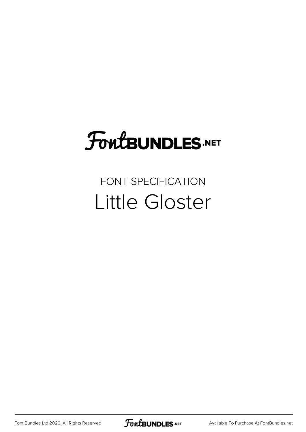# FoutBUNDLES.NET

#### FONT SPECIFICATION Little Gloster

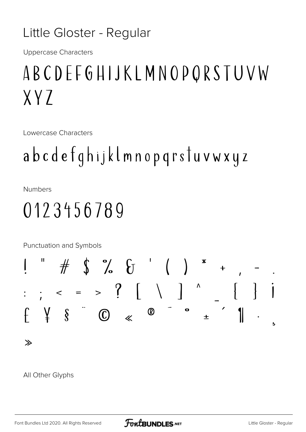#### Little Gloster - Regular

**Uppercase Characters** 

## ABCDEFGHIJKLMNOPQRSTUVW  $XY7$

Lowercase Characters

## abcdefghijklmnopqrstuvwxyz

**Numbers** 

#### 0123456789

Punctuation and Symbols



#### All Other Glyphs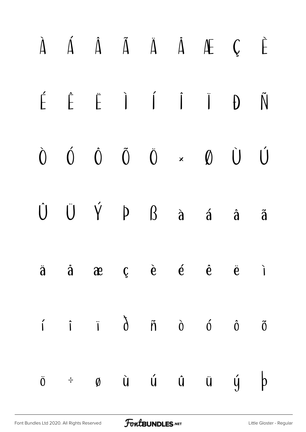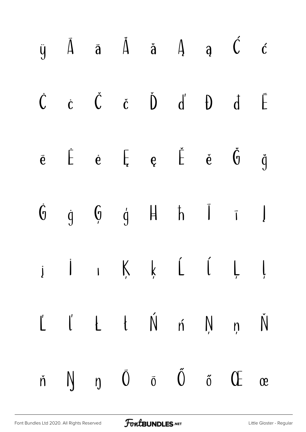|  |  |  | $\begin{array}{ccccccccccccccccc} \bar{y} & \bar{A} & \bar{a} & \bar{A} & \bar{a} & A & a & \bar{C} & c \end{array}$                                                         |  |
|--|--|--|------------------------------------------------------------------------------------------------------------------------------------------------------------------------------|--|
|  |  |  | $\begin{array}{ccccccccccccc} \dot{C} & \dot{C} & \dot{C} & \dot{C} & \dot{D} & d' & \hat{D} & d & \bar{E} \end{array}$                                                      |  |
|  |  |  | $\begin{array}{cccccccccccccc} \bar{e} & \dot{E} & \dot{e} & \bar{E} & e & \dot{\tilde{E}} & \dot{e} & \dot{\tilde{\theta}} & \ddot{g} \end{array}$                          |  |
|  |  |  | $\begin{array}{ccccccccccccc} \dot{\mathfrak{g}} & \dot{\mathfrak{g}} & \mathfrak{g} & \mathfrak{g} & \mathfrak{h} & \mathfrak{h} & \mathfrak{l} & \mathfrak{l} \end{array}$ |  |
|  |  |  | $i$ j j $K$ $k$ $L$ $i$ $\downarrow$ $l$                                                                                                                                     |  |
|  |  |  | $L'$ $L'$ $t$ $\acute{\text{N}}$ $\acute{\text{n}}$ $\acute{\text{N}}$ $\acute{\text{n}}$ $\acute{\text{N}}$                                                                 |  |
|  |  |  | $\check{n}$ $\bigwedge$ $\eta$ $\bar{0}$ $\bar{0}$ $\tilde{0}$ $\tilde{0}$ $\tilde{0}$ $\tilde{C}$ $\alpha$                                                                  |  |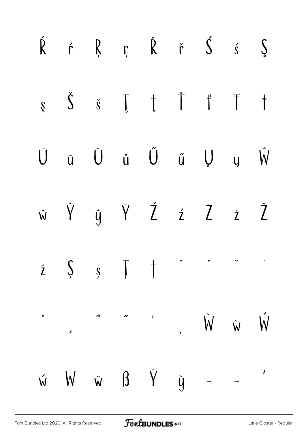